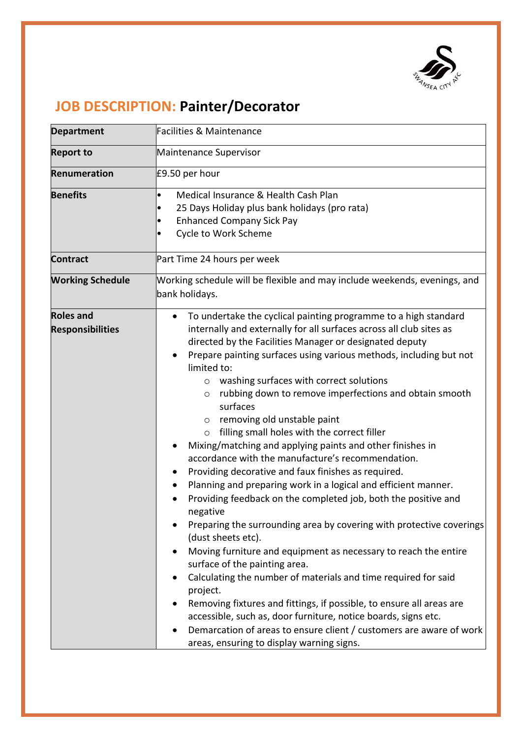

## **JOB DESCRIPTION: Painter/Decorator**

| <b>Department</b>                           | Facilities & Maintenance                                                                                                                                                                                                                                                                                                                                                                                                                                                                                                                                                                                                                                                                                                                                                                                                                                                                                                                                                                                                                                                                                                                                                                                                                                                                                                                                                                                                |
|---------------------------------------------|-------------------------------------------------------------------------------------------------------------------------------------------------------------------------------------------------------------------------------------------------------------------------------------------------------------------------------------------------------------------------------------------------------------------------------------------------------------------------------------------------------------------------------------------------------------------------------------------------------------------------------------------------------------------------------------------------------------------------------------------------------------------------------------------------------------------------------------------------------------------------------------------------------------------------------------------------------------------------------------------------------------------------------------------------------------------------------------------------------------------------------------------------------------------------------------------------------------------------------------------------------------------------------------------------------------------------------------------------------------------------------------------------------------------------|
| <b>Report to</b>                            | Maintenance Supervisor                                                                                                                                                                                                                                                                                                                                                                                                                                                                                                                                                                                                                                                                                                                                                                                                                                                                                                                                                                                                                                                                                                                                                                                                                                                                                                                                                                                                  |
| <b>Renumeration</b>                         | £9.50 per hour                                                                                                                                                                                                                                                                                                                                                                                                                                                                                                                                                                                                                                                                                                                                                                                                                                                                                                                                                                                                                                                                                                                                                                                                                                                                                                                                                                                                          |
| <b>Benefits</b>                             | Medical Insurance & Health Cash Plan<br>$\bullet$<br>25 Days Holiday plus bank holidays (pro rata)<br><b>Enhanced Company Sick Pay</b><br>Cycle to Work Scheme                                                                                                                                                                                                                                                                                                                                                                                                                                                                                                                                                                                                                                                                                                                                                                                                                                                                                                                                                                                                                                                                                                                                                                                                                                                          |
| <b>Contract</b>                             | Part Time 24 hours per week                                                                                                                                                                                                                                                                                                                                                                                                                                                                                                                                                                                                                                                                                                                                                                                                                                                                                                                                                                                                                                                                                                                                                                                                                                                                                                                                                                                             |
| <b>Working Schedule</b>                     | Working schedule will be flexible and may include weekends, evenings, and<br>bank holidays.                                                                                                                                                                                                                                                                                                                                                                                                                                                                                                                                                                                                                                                                                                                                                                                                                                                                                                                                                                                                                                                                                                                                                                                                                                                                                                                             |
| <b>Roles and</b><br><b>Responsibilities</b> | To undertake the cyclical painting programme to a high standard<br>internally and externally for all surfaces across all club sites as<br>directed by the Facilities Manager or designated deputy<br>Prepare painting surfaces using various methods, including but not<br>limited to:<br>washing surfaces with correct solutions<br>$\circ$<br>rubbing down to remove imperfections and obtain smooth<br>$\circ$<br>surfaces<br>removing old unstable paint<br>$\circ$<br>filling small holes with the correct filler<br>$\circ$<br>Mixing/matching and applying paints and other finishes in<br>accordance with the manufacture's recommendation.<br>Providing decorative and faux finishes as required.<br>٠<br>Planning and preparing work in a logical and efficient manner.<br>٠<br>Providing feedback on the completed job, both the positive and<br>negative<br>Preparing the surrounding area by covering with protective coverings<br>(dust sheets etc).<br>Moving furniture and equipment as necessary to reach the entire<br>surface of the painting area.<br>Calculating the number of materials and time required for said<br>٠<br>project.<br>Removing fixtures and fittings, if possible, to ensure all areas are<br>accessible, such as, door furniture, notice boards, signs etc.<br>Demarcation of areas to ensure client / customers are aware of work<br>areas, ensuring to display warning signs. |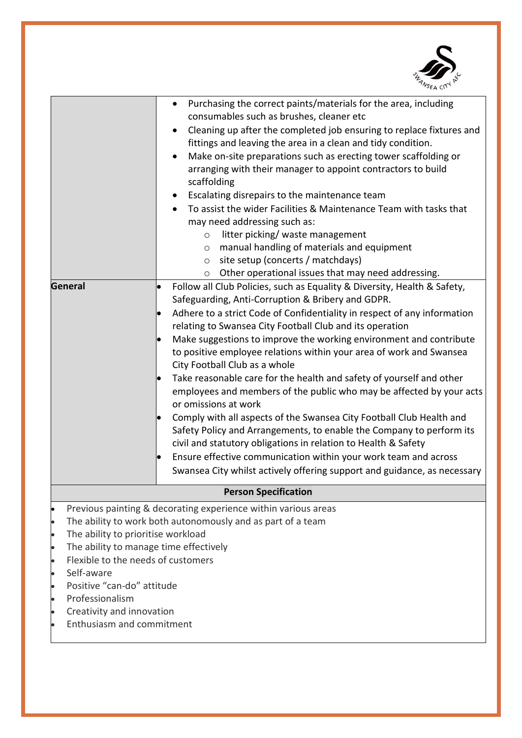

|                                                     | Purchasing the correct paints/materials for the area, including<br>٠                                                                                        |  |
|-----------------------------------------------------|-------------------------------------------------------------------------------------------------------------------------------------------------------------|--|
|                                                     | consumables such as brushes, cleaner etc                                                                                                                    |  |
|                                                     | Cleaning up after the completed job ensuring to replace fixtures and<br>$\bullet$<br>fittings and leaving the area in a clean and tidy condition.           |  |
|                                                     | Make on-site preparations such as erecting tower scaffolding or<br>$\bullet$<br>arranging with their manager to appoint contractors to build<br>scaffolding |  |
|                                                     | Escalating disrepairs to the maintenance team                                                                                                               |  |
|                                                     | To assist the wider Facilities & Maintenance Team with tasks that                                                                                           |  |
|                                                     | may need addressing such as:                                                                                                                                |  |
|                                                     | litter picking/ waste management<br>$\circ$                                                                                                                 |  |
|                                                     | manual handling of materials and equipment<br>$\circ$                                                                                                       |  |
|                                                     | site setup (concerts / matchdays)<br>$\circ$                                                                                                                |  |
|                                                     | Other operational issues that may need addressing.<br>$\circ$                                                                                               |  |
| General                                             | Follow all Club Policies, such as Equality & Diversity, Health & Safety,<br>$\bullet$<br>Safeguarding, Anti-Corruption & Bribery and GDPR.                  |  |
|                                                     | Adhere to a strict Code of Confidentiality in respect of any information                                                                                    |  |
|                                                     | relating to Swansea City Football Club and its operation                                                                                                    |  |
|                                                     | Make suggestions to improve the working environment and contribute                                                                                          |  |
|                                                     | to positive employee relations within your area of work and Swansea<br>City Football Club as a whole                                                        |  |
|                                                     | Take reasonable care for the health and safety of yourself and other                                                                                        |  |
|                                                     | employees and members of the public who may be affected by your acts                                                                                        |  |
|                                                     | or omissions at work                                                                                                                                        |  |
|                                                     | Comply with all aspects of the Swansea City Football Club Health and                                                                                        |  |
|                                                     | Safety Policy and Arrangements, to enable the Company to perform its<br>civil and statutory obligations in relation to Health & Safety                      |  |
|                                                     | Ensure effective communication within your work team and across                                                                                             |  |
|                                                     | Swansea City whilst actively offering support and guidance, as necessary                                                                                    |  |
|                                                     |                                                                                                                                                             |  |
| <b>Person Specification</b>                         |                                                                                                                                                             |  |
| $\bullet$                                           | Previous painting & decorating experience within various areas                                                                                              |  |
| $\bullet$                                           | The ability to work both autonomously and as part of a team                                                                                                 |  |
| The ability to prioritise workload<br>$\bullet$     |                                                                                                                                                             |  |
| The ability to manage time effectively<br>$\bullet$ |                                                                                                                                                             |  |
| Flexible to the needs of customers<br>$\bullet$     |                                                                                                                                                             |  |
| Self-aware<br>$\bullet$                             |                                                                                                                                                             |  |
| Positive "can-do" attitude<br>$\bullet$             |                                                                                                                                                             |  |
| Professionalism<br>$\bullet$                        |                                                                                                                                                             |  |
| Creativity and innovation<br>$\bullet$              |                                                                                                                                                             |  |
| Enthusiasm and commitment                           |                                                                                                                                                             |  |
|                                                     |                                                                                                                                                             |  |